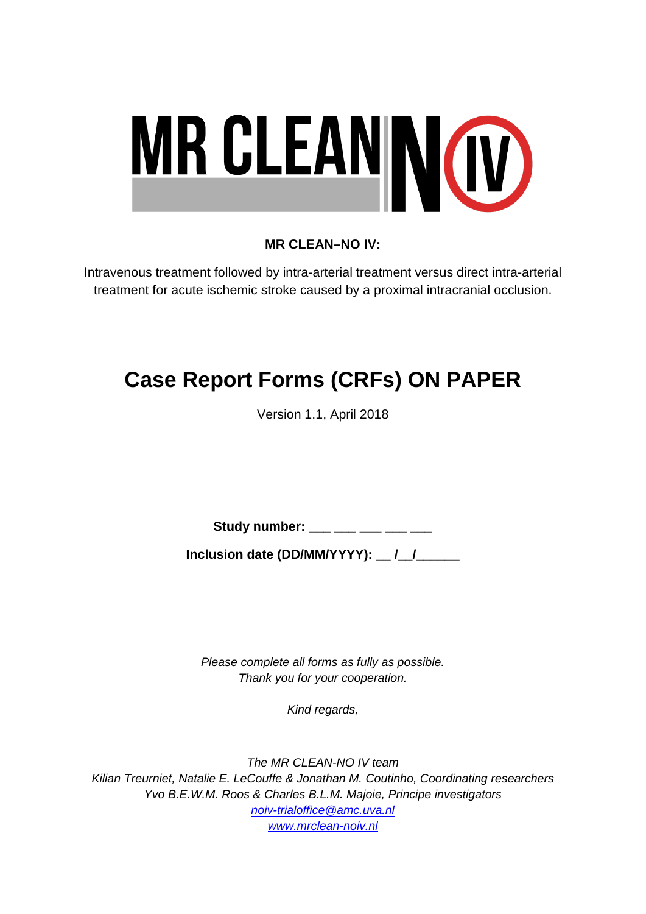

## **MR CLEAN–NO IV:**

Intravenous treatment followed by intra-arterial treatment versus direct intra-arterial treatment for acute ischemic stroke caused by a proximal intracranial occlusion.

# **Case Report Forms (CRFs) ON PAPER**

Version 1.1, April 2018

Study number: \_\_\_ \_\_\_ \_\_\_ \_\_\_ \_\_\_

**Inclusion date (DD/MM/YYYY): \_\_ /\_\_/\_\_\_\_\_\_**

*Please complete all forms as fully as possible. Thank you for your cooperation.*

*Kind regards,*

*The MR CLEAN-NO IV team Kilian Treurniet, Natalie E. LeCouffe & Jonathan M. Coutinho, Coordinating researchers Yvo B.E.W.M. Roos & Charles B.L.M. Majoie, Principe investigators [noiv-trialoffice@amc.uva.nl](mailto:noiv-trialoffice@amc.uva.nl) [www.mrclean-noiv.nl](http://www.mrclean-noiv.nl/)*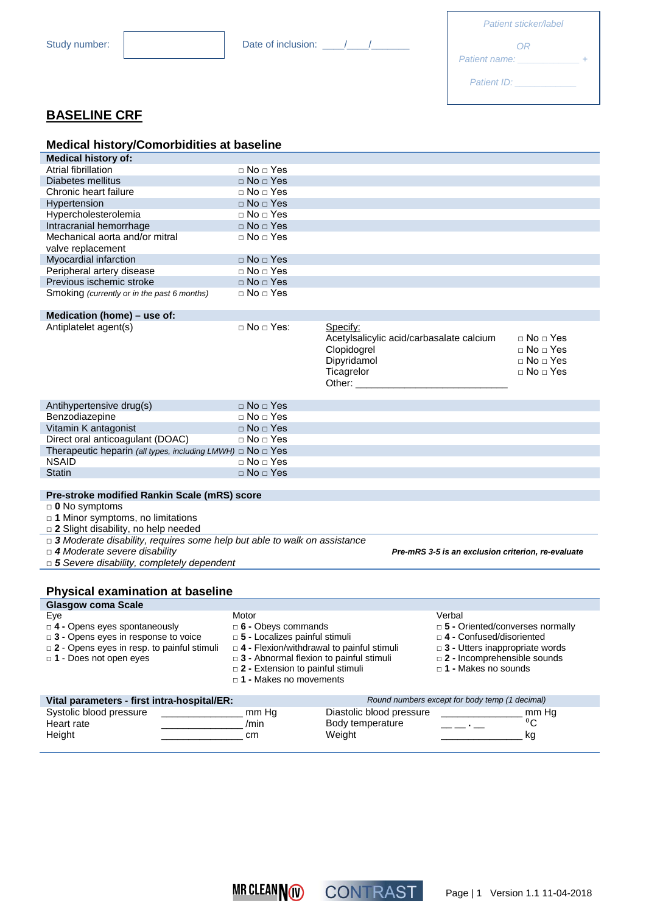| Patient sticker/label |  |
|-----------------------|--|
| OR                    |  |
| Patient name:         |  |
| <b>Patient ID:</b>    |  |

## **BASELINE CRF**

| <b>Medical history/Comorbidities at baseline</b>                                                              |                                                                     |                                                                                                            |                                                                                                    |
|---------------------------------------------------------------------------------------------------------------|---------------------------------------------------------------------|------------------------------------------------------------------------------------------------------------|----------------------------------------------------------------------------------------------------|
| <b>Medical history of:</b>                                                                                    |                                                                     |                                                                                                            |                                                                                                    |
| Atrial fibrillation                                                                                           | $\sqcap$ No $\sqcap$ Yes                                            |                                                                                                            |                                                                                                    |
| Diabetes mellitus                                                                                             | $\Box$ No $\Box$ Yes                                                |                                                                                                            |                                                                                                    |
| Chronic heart failure                                                                                         | $\Box$ No $\Box$ Yes                                                |                                                                                                            |                                                                                                    |
| Hypertension                                                                                                  | $\Box$ No $\Box$ Yes                                                |                                                                                                            |                                                                                                    |
| Hypercholesterolemia                                                                                          | $\Box$ No $\Box$ Yes                                                |                                                                                                            |                                                                                                    |
| Intracranial hemorrhage                                                                                       | $\Box$ No $\Box$ Yes                                                |                                                                                                            |                                                                                                    |
| Mechanical aorta and/or mitral                                                                                | □ No □ Yes                                                          |                                                                                                            |                                                                                                    |
| valve replacement                                                                                             |                                                                     |                                                                                                            |                                                                                                    |
| Myocardial infarction                                                                                         | $\Box$ No $\Box$ Yes                                                |                                                                                                            |                                                                                                    |
| Peripheral artery disease                                                                                     | $\Box$ No $\Box$ Yes                                                |                                                                                                            |                                                                                                    |
| Previous ischemic stroke                                                                                      | $\Box$ No $\Box$ Yes                                                |                                                                                                            |                                                                                                    |
| Smoking (currently or in the past 6 months)                                                                   | □ No □ Yes                                                          |                                                                                                            |                                                                                                    |
|                                                                                                               |                                                                     |                                                                                                            |                                                                                                    |
| Medication (home) - use of:                                                                                   |                                                                     |                                                                                                            |                                                                                                    |
| Antiplatelet agent(s)                                                                                         | $\sqcap$ No $\sqcap$ Yes:                                           | Specify:<br>Acetylsalicylic acid/carbasalate calcium<br>Clopidogrel<br>Dipyridamol<br>Ticagrelor<br>Other: | $\Box$ No $\Box$ Yes<br>$\Box$ No $\Box$ Yes<br>$\square$ No $\square$ Yes<br>$\Box$ No $\Box$ Yes |
| Antihypertensive drug(s)                                                                                      | $\Box$ No $\Box$ Yes                                                |                                                                                                            |                                                                                                    |
| Benzodiazepine                                                                                                | $\Box$ No $\Box$ Yes                                                |                                                                                                            |                                                                                                    |
| Vitamin K antagonist                                                                                          | $\Box$ No $\Box$ Yes                                                |                                                                                                            |                                                                                                    |
| Direct oral anticoagulant (DOAC)                                                                              | □ No □ Yes                                                          |                                                                                                            |                                                                                                    |
| Therapeutic heparin (all types, including LMWH) $\Box$ No $\Box$ Yes                                          |                                                                     |                                                                                                            |                                                                                                    |
| <b>NSAID</b>                                                                                                  | □ No □ Yes                                                          |                                                                                                            |                                                                                                    |
| <b>Statin</b>                                                                                                 | $\Box$ No $\Box$ Yes                                                |                                                                                                            |                                                                                                    |
|                                                                                                               |                                                                     |                                                                                                            |                                                                                                    |
| Pre-stroke modified Rankin Scale (mRS) score                                                                  |                                                                     |                                                                                                            |                                                                                                    |
| $\Box$ 0 No symptoms<br>$\Box$ 1 Minor symptoms, no limitations<br>$\Box$ 2 Slight disability, no help needed |                                                                     |                                                                                                            |                                                                                                    |
| $\Box$ 3 Moderate disability, requires some help but able to walk on assistance                               |                                                                     |                                                                                                            |                                                                                                    |
| $\Box$ 4 Moderate severe disability                                                                           |                                                                     | Pre-mRS 3-5 is an exclusion criterion, re-evaluate                                                         |                                                                                                    |
| $\Box$ 5 Severe disability, completely dependent                                                              |                                                                     |                                                                                                            |                                                                                                    |
| <b>Physical examination at baseline</b>                                                                       |                                                                     |                                                                                                            |                                                                                                    |
| <b>Glasgow coma Scale</b>                                                                                     |                                                                     |                                                                                                            |                                                                                                    |
| Eye                                                                                                           | Motor                                                               | Verbal                                                                                                     |                                                                                                    |
| D 4 - Opens eyes spontaneously                                                                                | $\square$ 6 - Obeys commands                                        |                                                                                                            | □ 5 - Oriented/converses normally                                                                  |
| $\Box$ 3 - Opens eyes in response to voice                                                                    | □ 5 - Localizes painful stimuli                                     |                                                                                                            | $\Box$ 4 - Confused/disoriented                                                                    |
| $\Box$ 2 - Opens eyes in resp. to painful stimuli<br>□ 1 - Does not open eyes                                 |                                                                     | $\Box$ 4 - Flexion/withdrawal to painful stimuli<br>$\Box$ 3 - Abnormal flexion to painful stimuli         | $\Box$ 3 - Utters inappropriate words<br>$\Box$ 2 - Incomprehensible sounds                        |
|                                                                                                               | $\Box$ 2 - Extension to painful stimuli<br>□ 1 - Makes no movements | $\Box$ 1 - Makes no sounds                                                                                 |                                                                                                    |
| Vital parameters - first intra-hospital/ER:                                                                   |                                                                     | Round numbers except for body temp (1 decimal)                                                             |                                                                                                    |
| Systolic blood pressure                                                                                       | mm Hg                                                               | Diastolic blood pressure                                                                                   | mm Hg                                                                                              |
| Heart rate                                                                                                    | /min                                                                | Body temperature                                                                                           | $\rm ^{0}C$                                                                                        |
| Height                                                                                                        | cm                                                                  | Weight                                                                                                     | kg                                                                                                 |



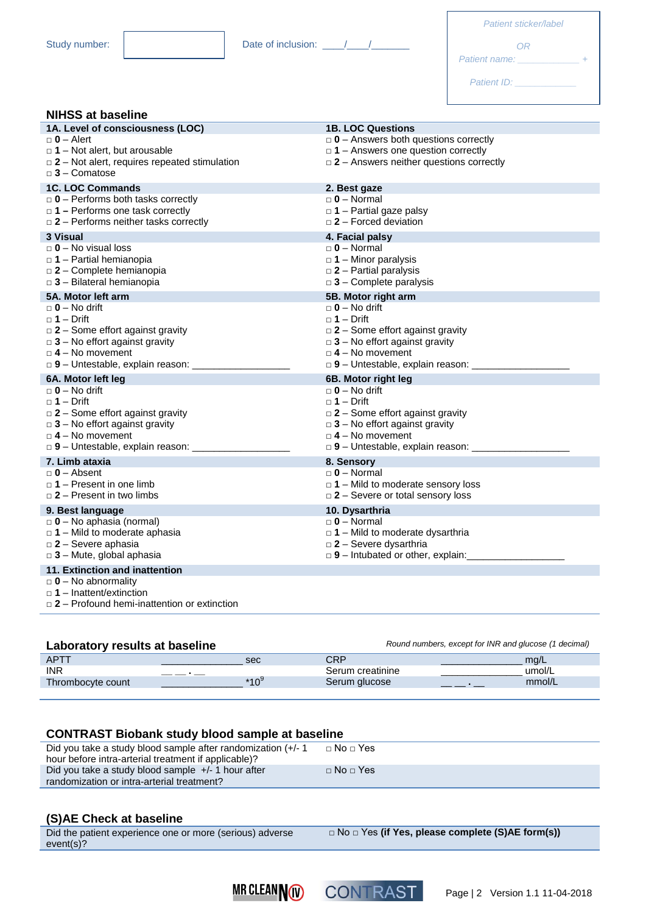|                    | <b>Patient sticker/label</b> |
|--------------------|------------------------------|
| Date of inclusion: | $-$                          |

|               | 0R |  |
|---------------|----|--|
| Patient name: |    |  |
| Patient ID:   |    |  |

#### **NIHSS at baseline**

| 1A. Level of consciousness (LOC)                                                           | <b>1B. LOC Questions</b>                                                                    |
|--------------------------------------------------------------------------------------------|---------------------------------------------------------------------------------------------|
| $\Box$ 0 – Alert                                                                           | $\Box$ 0 - Answers both questions correctly                                                 |
| $\Box$ 1 – Not alert, but arousable<br>$\Box$ 2 – Not alert, requires repeated stimulation | $\Box$ 1 – Answers one question correctly<br>$\Box$ 2 – Answers neither questions correctly |
| $\Box$ 3 - Comatose                                                                        |                                                                                             |
| <b>1C. LOC Commands</b>                                                                    | 2. Best gaze                                                                                |
| $\Box$ 0 – Performs both tasks correctly                                                   | $\Box$ 0 – Normal                                                                           |
| $\Box$ 1 – Performs one task correctly                                                     | $\Box$ 1 – Partial gaze palsy                                                               |
| $\Box$ 2 – Performs neither tasks correctly                                                | $\Box$ 2 – Forced deviation                                                                 |
| 3 Visual                                                                                   | 4. Facial palsy                                                                             |
| $\Box$ 0 – No visual loss<br>$\Box$ 1 – Partial hemianopia                                 | $\Box$ 0 – Normal<br>$\Box$ 1 – Minor paralysis                                             |
| $\Box$ 2 - Complete hemianopia                                                             | $\square$ 2 – Partial paralysis                                                             |
| $\Box$ 3 - Bilateral hemianopia                                                            | $\Box$ 3 - Complete paralysis                                                               |
| 5A. Motor left arm                                                                         | 5B. Motor right arm                                                                         |
| $\Box$ 0 – No drift                                                                        | $\Box$ 0 – No drift                                                                         |
| □ 1 – Drift                                                                                | $\Box$ 1 – Drift                                                                            |
| $\Box$ 2 – Some effort against gravity<br>$\Box$ 3 – No effort against gravity             | $\Box$ 2 – Some effort against gravity<br>$\Box$ 3 – No effort against gravity              |
| $\Box$ 4 – No movement                                                                     | $\Box$ 4 – No movement                                                                      |
|                                                                                            | $\Box$ 9 - Untestable, explain reason: __________                                           |
| 6A. Motor left leg                                                                         | 6B. Motor right leg                                                                         |
| $\Box$ 0 – No drift                                                                        | $\Box$ 0 – No drift                                                                         |
| □ 1 – Drift                                                                                | $\Box$ 1 – Drift                                                                            |
| $\Box$ 2 – Some effort against gravity<br>$\Box$ 3 – No effort against gravity             | $\square$ 2 – Some effort against gravity<br>$\Box$ 3 – No effort against gravity           |
| $\Box$ 4 – No movement                                                                     | $\Box$ 4 – No movement                                                                      |
|                                                                                            | $\Box$ 9 - Untestable, explain reason: ___________                                          |
| 7. Limb ataxia                                                                             | 8. Sensory                                                                                  |
| $\Box$ 0 - Absent                                                                          | $\Box$ 0 – Normal                                                                           |
| $\Box$ 1 – Present in one limb                                                             | $\Box$ 1 – Mild to moderate sensory loss                                                    |
| $\Box$ 2 – Present in two limbs                                                            | $\Box$ 2 – Severe or total sensory loss                                                     |
| 9. Best language                                                                           | 10. Dysarthria                                                                              |
| $\Box$ 0 – No aphasia (normal)<br>$\Box$ 1 – Mild to moderate aphasia                      | $\Box$ 0 – Normal<br>$\Box$ 1 – Mild to moderate dysarthria                                 |
| $\square$ 2 - Severe aphasia                                                               | $\square$ 2 - Severe dysarthria                                                             |
| $\Box$ 3 - Mute, global aphasia                                                            | $\Box$ 9 - Intubated or other, explain:                                                     |
| 11. Extinction and inattention                                                             |                                                                                             |
| $\Box$ 0 – No abnormality                                                                  |                                                                                             |
| $\Box$ 1 – Inattent/extinction                                                             |                                                                                             |
| $\Box$ 2 – Profound hemi-inattention or extinction                                         |                                                                                             |

| Round numbers, except for INR and glucose (1 decimal)<br>Laboratory results at baseline |        |                  |        |
|-----------------------------------------------------------------------------------------|--------|------------------|--------|
| <b>APTT</b>                                                                             | sec    | CRP              | ma/L   |
| <b>INR</b>                                                                              |        | Serum creatinine | umol/L |
| Thrombocyte count                                                                       | $*109$ | Serum glucose    | mmol/L |

#### **CONTRAST Biobank study blood sample at baseline** Did you take a study blood sample after randomization (+/- 1 hour before intra-arterial treatment if applicable)? □ No □ Yes Did you take a study blood sample +/- 1 hour after randomization or intra-arterial treatment? □ No □ Yes

#### **(S)AE Check at baseline**

Did the patient experience one or more (serious) adverse event(s)?

□ No □ Yes **(if Yes, please complete (S)AE form(s))**

**MR CLEAN NOW** 

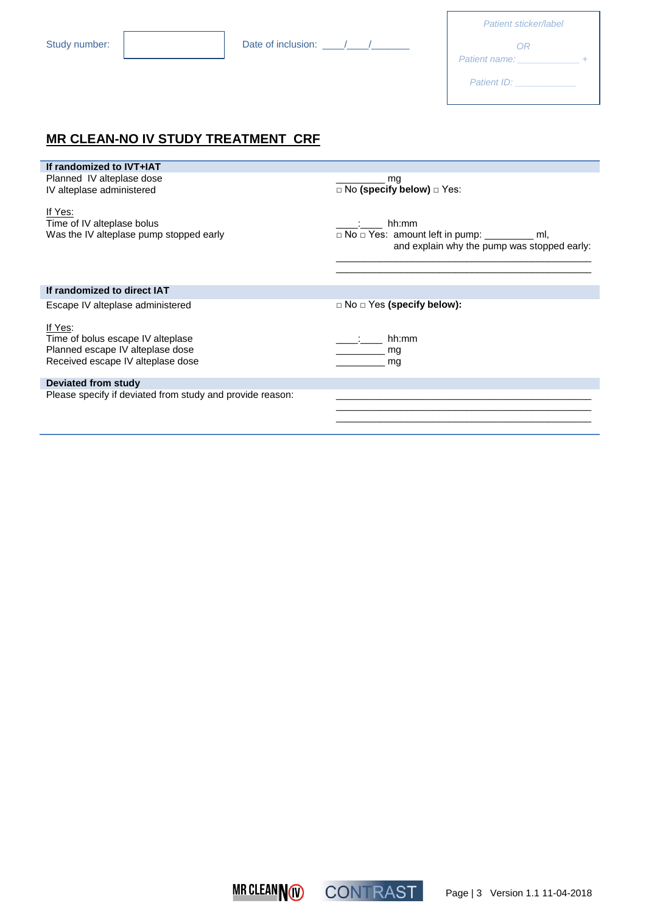| Date of inclusion: |  |
|--------------------|--|
|                    |  |

| Patient sticker/label |  |
|-----------------------|--|
| ΩR                    |  |
| Patient name:         |  |
| <b>Patient ID:</b>    |  |

## **MR CLEAN-NO IV STUDY TREATMENT CRF**

| If randomized to IVT+IAT                                                         |                                                                                                         |
|----------------------------------------------------------------------------------|---------------------------------------------------------------------------------------------------------|
| Planned IV alteplase dose                                                        | mg                                                                                                      |
| IV alteplase administered                                                        | $\Box$ No (specify below) $\Box$ Yes:                                                                   |
| If Yes:<br>Time of IV alteplase bolus<br>Was the IV alteplase pump stopped early | hh:mm<br>□ No □ Yes: amount left in pump: __________ ml,<br>and explain why the pump was stopped early: |
|                                                                                  |                                                                                                         |
| If randomized to direct IAT                                                      |                                                                                                         |
| Escape IV alteplase administered                                                 | $\Box$ No $\Box$ Yes (specify below):                                                                   |
| If Yes:                                                                          |                                                                                                         |
| Time of bolus escape IV alteplase                                                | hh:mm                                                                                                   |
| Planned escape IV alteplase dose                                                 | mg                                                                                                      |
| Received escape IV alteplase dose                                                | mg                                                                                                      |
| Deviated from study                                                              |                                                                                                         |
| Please specify if deviated from study and provide reason:                        |                                                                                                         |

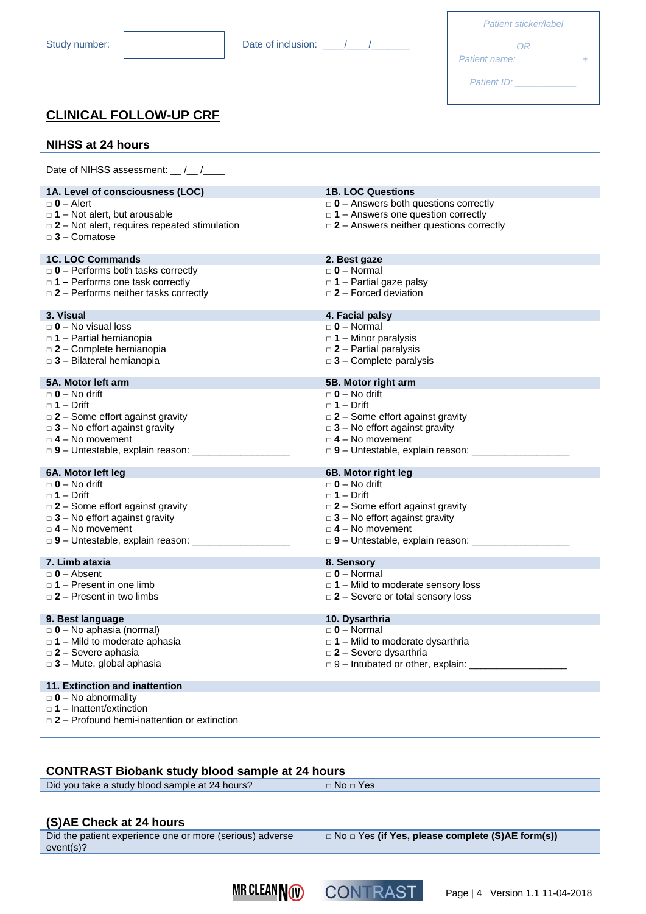| Patient sticker/label |  |
|-----------------------|--|
| ΩR                    |  |
| Patient name:         |  |
| Patient ID:           |  |

## **CLINICAL FOLLOW-UP CRF**

#### **NIHSS at 24 hours**

Date of NIHSS assessment: \_\_ /\_\_ /\_\_

|           | 1A. Level of consciousness (LOC)                                                     | <b>1B. LOC Questions</b>                       |
|-----------|--------------------------------------------------------------------------------------|------------------------------------------------|
|           | $\Box$ 0 - Alert                                                                     | $\Box$ 0 - Answers both questions correctly    |
|           | $\Box$ 1 – Not alert, but arousable                                                  | $\Box$ 1 – Answers one question correctly      |
|           | $\Box$ 2 – Not alert, requires repeated stimulation                                  | $\Box$ 2 – Answers neither questions correctly |
|           | $\Box$ 3 - Comatose                                                                  |                                                |
|           |                                                                                      |                                                |
|           | <b>1C. LOC Commands</b>                                                              | 2. Best gaze                                   |
|           | $\Box$ 0 – Performs both tasks correctly                                             | $\Box$ 0 – Normal                              |
|           | $\Box$ 1 – Performs one task correctly                                               | $\Box$ 1 – Partial gaze palsy                  |
|           | $\Box$ 2 - Performs neither tasks correctly                                          | $\Box$ 2 – Forced deviation                    |
|           |                                                                                      |                                                |
| 3. Visual |                                                                                      | 4. Facial palsy                                |
|           | $\Box$ 0 – No visual loss                                                            | $\Box$ 0 – Normal                              |
|           | $\Box$ 1 – Partial hemianopia                                                        | $\Box$ 1 – Minor paralysis                     |
|           |                                                                                      |                                                |
|           | $\Box$ 2 - Complete hemianopia                                                       | $\square$ 2 – Partial paralysis                |
|           | $\Box$ 3 - Bilateral hemianopia                                                      | $\Box$ 3 - Complete paralysis                  |
|           | 5A. Motor left arm                                                                   | 5B. Motor right arm                            |
|           | $\Box$ 0 – No drift                                                                  | $\Box$ 0 – No drift                            |
|           | $\Box$ 1 – Drift                                                                     | $\Box$ 1 – Drift                               |
|           |                                                                                      |                                                |
|           | $\Box$ 2 – Some effort against gravity                                               | $\Box$ 2 – Some effort against gravity         |
|           | $\Box$ 3 – No effort against gravity                                                 | $\Box$ 3 - No effort against gravity           |
|           | $\Box$ 4 – No movement                                                               | $\Box$ 4 – No movement                         |
|           |                                                                                      |                                                |
|           |                                                                                      |                                                |
|           |                                                                                      |                                                |
|           | 6A. Motor left leg                                                                   | 6B. Motor right leg                            |
|           | $\Box$ 0 – No drift                                                                  | $\Box$ 0 – No drift                            |
|           | $\Box$ 1 – Drift                                                                     | $\Box$ 1 – Drift                               |
|           | $\Box$ 2 – Some effort against gravity                                               | $\Box$ 2 – Some effort against gravity         |
|           | $\Box$ 3 – No effort against gravity                                                 | $\Box$ 3 – No effort against gravity           |
|           | $\Box$ 4 – No movement                                                               | $\Box$ 4 – No movement                         |
|           |                                                                                      |                                                |
|           |                                                                                      |                                                |
|           | 7. Limb ataxia                                                                       | 8. Sensory                                     |
|           | $\Box$ 0 - Absent                                                                    | $\Box$ 0 – Normal                              |
|           | $\Box$ 1 – Present in one limb                                                       | $\Box$ 1 – Mild to moderate sensory loss       |
|           | $\Box$ 2 – Present in two limbs                                                      | $\Box$ 2 – Severe or total sensory loss        |
|           |                                                                                      |                                                |
|           | 9. Best language                                                                     | 10. Dysarthria                                 |
|           | $\Box$ 0 - No aphasia (normal)                                                       | $\Box$ 0 – Normal                              |
|           | $\Box$ 1 – Mild to moderate aphasia                                                  | $\Box$ 1 – Mild to moderate dysarthria         |
|           | $\square$ 2 - Severe aphasia                                                         | $\square$ 2 - Severe dysarthria                |
|           | $\Box$ 3 - Mute, global aphasia                                                      | $\Box$ 9 – Intubated or other, explain:        |
|           |                                                                                      |                                                |
|           | 11. Extinction and inattention                                                       |                                                |
|           | $\Box$ 0 – No abnormality                                                            |                                                |
|           | $\Box$ 1 – Inattent/extinction<br>$\Box$ 2 – Profound hemi-inattention or extinction |                                                |

#### **CONTRAST Biobank study blood sample at 24 hours**

Did you take a study blood sample at 24 hours? □ No □ Yes

#### **(S)AE Check at 24 hours**

Did the patient experience one or more (serious) adverse event(s)?

□ No □ Yes **(if Yes, please complete (S)AE form(s))**



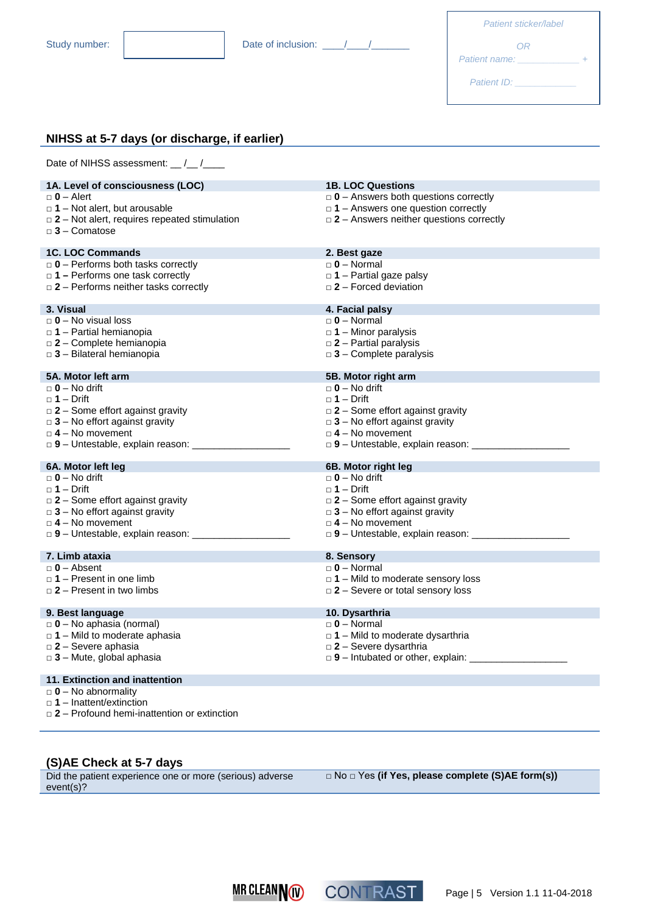| Patient sticker/label |  |
|-----------------------|--|
| OR<br>Patient name:   |  |
| Patient ID:           |  |

### **NIHSS at 5-7 days (or discharge, if earlier)**

| Date of NIHSS assessment: __/__/____                           |                                                                                        |
|----------------------------------------------------------------|----------------------------------------------------------------------------------------|
| 1A. Level of consciousness (LOC)                               | <b>1B. LOC Questions</b>                                                               |
| $\Box$ 0 – Alert                                               | $\Box$ 0 - Answers both questions correctly                                            |
| $\Box$ 1 – Not alert, but arousable                            | $\Box$ 1 – Answers one question correctly                                              |
| $\Box$ 2 – Not alert, requires repeated stimulation            | $\Box$ 2 – Answers neither questions correctly                                         |
| $\Box$ 3 - Comatose                                            |                                                                                        |
| <b>1C. LOC Commands</b>                                        | 2. Best gaze                                                                           |
| $\Box$ 0 - Performs both tasks correctly                       | $\Box$ 0 – Normal                                                                      |
| $\Box$ 1 – Performs one task correctly                         | $\Box$ 1 - Partial gaze palsy                                                          |
| $\Box$ 2 – Performs neither tasks correctly                    | $\Box$ 2 – Forced deviation                                                            |
|                                                                |                                                                                        |
| 3. Visual                                                      | 4. Facial palsy                                                                        |
| $\Box$ 0 – No visual loss                                      | $\Box$ 0 – Normal                                                                      |
| $\Box$ 1 – Partial hemianopia                                  | $\Box$ 1 - Minor paralysis                                                             |
| $\square$ 2 - Complete hemianopia                              | $\square$ 2 – Partial paralysis                                                        |
| $\Box$ 3 - Bilateral hemianopia                                | $\Box$ 3 – Complete paralysis                                                          |
| 5A. Motor left arm                                             | 5B. Motor right arm                                                                    |
| $\square$ 0 – No drift                                         | $\Box$ 0 – No drift                                                                    |
| $\Box$ 1 – Drift                                               | $\Box$ 1 – Drift                                                                       |
| $\Box$ 2 – Some effort against gravity                         | $\square$ 2 – Some effort against gravity                                              |
| $\Box$ 3 – No effort against gravity                           | $\Box$ 3 – No effort against gravity                                                   |
| $\Box$ 4 – No movement                                         | $\Box$ 4 – No movement                                                                 |
| $\Box$ 9 – Untestable, explain reason:                         | $\Box$ 9 - Untestable, explain reason:                                                 |
|                                                                |                                                                                        |
| 6A. Motor left leg                                             | 6B. Motor right leg                                                                    |
| $\Box$ 0 – No drift                                            | $\Box$ 0 – No drift                                                                    |
| $\Box$ 1 – Drift                                               | $\Box$ 1 – Drift                                                                       |
| $\Box$ 2 – Some effort against gravity                         | $\Box$ 2 – Some effort against gravity                                                 |
| $\Box$ 3 – No effort against gravity<br>$\Box$ 4 – No movement | $\Box$ 3 - No effort against gravity<br>$\Box$ 4 – No movement                         |
|                                                                |                                                                                        |
|                                                                | $\Box$ 9 - Untestable, explain reason: ____________                                    |
| 7. Limb ataxia                                                 | 8. Sensory                                                                             |
| $\Box$ 0 - Absent                                              | $\Box$ 0 – Normal                                                                      |
| $\Box$ 1 – Present in one limb                                 | $\Box$ 1 – Mild to moderate sensory loss                                               |
| $\Box$ 2 – Present in two limbs                                | $\Box$ 2 – Severe or total sensory loss                                                |
|                                                                |                                                                                        |
| 9. Best language                                               | 10. Dysarthria                                                                         |
| $\Box$ 0 – No aphasia (normal)                                 | $\Box$ 0 – Normal                                                                      |
| $\Box$ 1 – Mild to moderate aphasia                            | $\Box$ 1 – Mild to moderate dysarthria                                                 |
| $\Box$ 2 - Severe aphasia                                      | $\Box$ 2 - Severe dysarthria<br>$\Box$ 9 - Intubated or other, explain: ______________ |
| $\Box$ 3 – Mute, global aphasia                                |                                                                                        |
| 11. Extinction and inattention                                 |                                                                                        |
| $\Box$ 0 – No abnormality                                      |                                                                                        |
| $\Box$ 1 – Inattent/extinction                                 |                                                                                        |
| $\Box$ 2 – Profound hemi-inattention or extinction             |                                                                                        |

#### **(S)AE Check at 5-7 days**

Did the patient experience one or more (serious) adverse event(s)?

□ No □ Yes **(if Yes, please complete (S)AE form(s))**



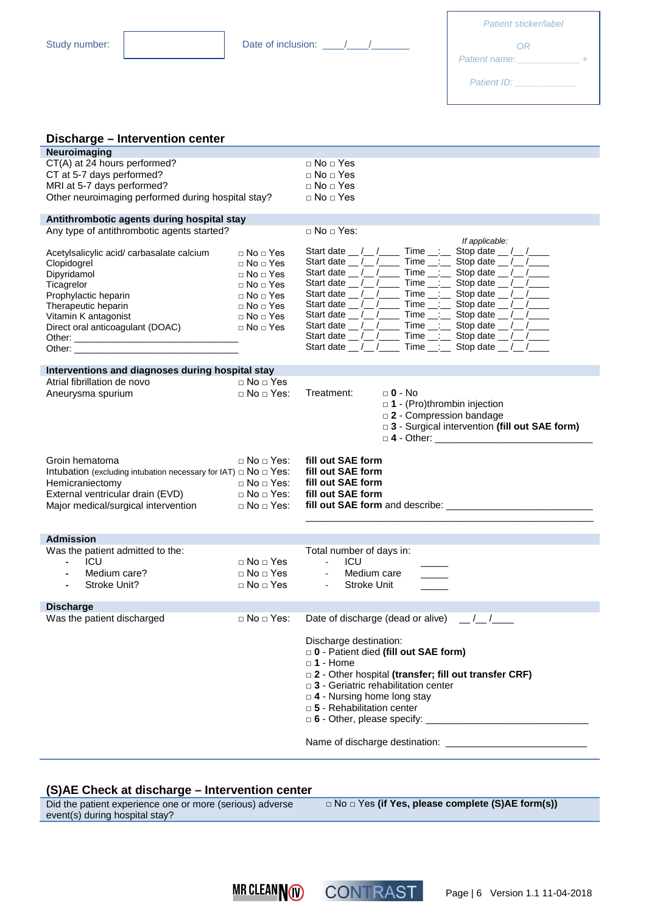Study number:  $\begin{vmatrix} 1 & 1 & 1 \\ 1 & 1 & 1 \\ 1 & 1 & 1 \end{vmatrix}$  Date of inclusion:  $\begin{vmatrix} 1 & 1 \\ 1 & 1 \end{vmatrix}$ 

| Patient sticker/label |  |
|-----------------------|--|
| ΩR                    |  |
| Patient name:         |  |
| Patient ID:           |  |

| Discharge – Intervention center                                           |                          |                                                                                                          |
|---------------------------------------------------------------------------|--------------------------|----------------------------------------------------------------------------------------------------------|
| <b>Neuroimaging</b>                                                       |                          |                                                                                                          |
| CT(A) at 24 hours performed?                                              |                          | $\Box$ No $\Box$ Yes                                                                                     |
| CT at 5-7 days performed?                                                 |                          | $\Box$ No $\Box$ Yes                                                                                     |
| MRI at 5-7 days performed?                                                |                          | $\Box$ No $\Box$ Yes                                                                                     |
| Other neuroimaging performed during hospital stay?                        |                          | $\Box$ No $\Box$ Yes                                                                                     |
|                                                                           |                          |                                                                                                          |
| Antithrombotic agents during hospital stay                                |                          |                                                                                                          |
| Any type of antithrombotic agents started?                                |                          | $\Box$ No $\Box$ Yes:<br>If applicable:                                                                  |
| Acetylsalicylic acid/ carbasalate calcium                                 | $\Box$ No $\Box$ Yes     | Start date __ /__ /_____ Time __:__ Stop date __ /__ /____                                               |
| Clopidogrel                                                               | $\Box$ No $\Box$ Yes     | Start date __ /__ /_____ Time __: __ Stop date __ /__ /____                                              |
| Dipyridamol                                                               | $\Box$ No $\Box$ Yes     | Start date __ /__ /_____ Time __:__ Stop date __ /__ /____                                               |
| Ticagrelor                                                                | $\sqcap$ No $\sqcap$ Yes | Start date __/__/______ Time __:___ Stop date __/__/____                                                 |
| Prophylactic heparin                                                      | $\Box$ No $\Box$ Yes     | Time $\frac{1}{\sqrt{2}}$ Stop date $\frac{1}{\sqrt{2}}$<br>Start date $\frac{\ }{\ }$ / $\frac{\ }{\ }$ |
| Therapeutic heparin                                                       | □ No □ Yes               | Start date __/__/______ Time __:___ Stop date __/__/____                                                 |
| Vitamin K antagonist                                                      | $\Box$ No $\Box$ Yes     | Start date __ /__ /_____ Time __:__ Stop date __ /__ /____                                               |
| Direct oral anticoagulant (DOAC)                                          | $\Box$ No $\Box$ Yes     | Start date __/__/______ Time __:___ Stop date __/__/____                                                 |
|                                                                           |                          | Start date __/__/______ Time __:___ Stop date __/__/____                                                 |
|                                                                           |                          | Start date __/__/______ Time __:___ Stop date __/__/____                                                 |
| Interventions and diagnoses during hospital stay                          |                          |                                                                                                          |
| Atrial fibrillation de novo                                               | $\Box$ No $\Box$ Yes     |                                                                                                          |
| Aneurysma spurium                                                         | $\Box$ No $\Box$ Yes:    | Treatment:<br>$\Box$ 0 - No                                                                              |
|                                                                           |                          | $\Box$ 1 - (Pro)thrombin injection                                                                       |
|                                                                           |                          | □ 2 - Compression bandage                                                                                |
|                                                                           |                          | □ 3 - Surgical intervention (fill out SAE form)                                                          |
|                                                                           |                          |                                                                                                          |
|                                                                           |                          |                                                                                                          |
|                                                                           |                          |                                                                                                          |
| Groin hematoma                                                            | $\Box$ No $\Box$ Yes:    | fill out SAE form                                                                                        |
| Intubation (excluding intubation necessary for IAT) $\Box$ No $\Box$ Yes: |                          | fill out SAE form                                                                                        |
| Hemicraniectomy                                                           | $\Box$ No $\Box$ Yes:    | fill out SAE form                                                                                        |
| External ventricular drain (EVD)                                          | □ No □ Yes:              | fill out SAE form                                                                                        |
| Major medical/surgical intervention                                       | $\Box$ No $\Box$ Yes:    |                                                                                                          |
|                                                                           |                          |                                                                                                          |
| <b>Admission</b>                                                          |                          |                                                                                                          |
| Was the patient admitted to the:                                          |                          | Total number of days in:                                                                                 |
| ICU<br>$\mathbf{r}$                                                       | $\Box$ No $\Box$ Yes     | $\Delta \sim 10^4$<br>ICU                                                                                |
| Medium care?                                                              | $\Box$ No $\Box$ Yes     | Medium care<br>$\Delta \sim 100$                                                                         |
| Stroke Unit?                                                              | $\Box$ No $\Box$ Yes     | Stroke Unit<br>$\omega_{\rm{max}}$                                                                       |
| <b>Discharge</b>                                                          |                          |                                                                                                          |
| Was the patient discharged                                                |                          | $\Box$ No $\Box$ Yes: Date of discharge (dead or alive) __/_/___                                         |
|                                                                           |                          |                                                                                                          |
|                                                                           |                          | Discharge destination:                                                                                   |
|                                                                           |                          | D - Patient died (fill out SAE form)                                                                     |
|                                                                           |                          | $\Box$ 1 - Home                                                                                          |
|                                                                           |                          | □ 2 - Other hospital (transfer; fill out transfer CRF)                                                   |
|                                                                           |                          | $\Box$ 3 - Geriatric rehabilitation center                                                               |
|                                                                           |                          | $\Box$ 4 - Nursing home long stay                                                                        |
|                                                                           |                          | $\Box$ 5 - Rehabilitation center                                                                         |
|                                                                           |                          |                                                                                                          |

#### **(S)AE Check at discharge – Intervention center**

Did the patient experience one or more (serious) adverse event(s) during hospital stay? □ No □ Yes **(if Yes, please complete (S)AE form(s))**



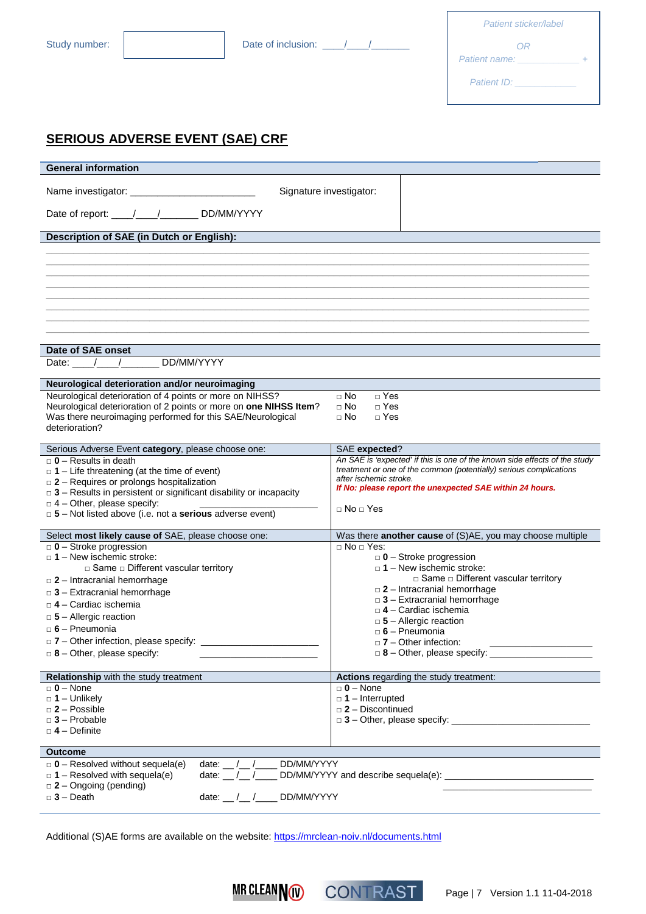| Patient sticker/label |  |
|-----------------------|--|
| ΩR                    |  |
| Patient name:         |  |
| Patient ID:           |  |

## **SERIOUS ADVERSE EVENT (SAE) CRF**

| <b>General information</b>                                                                                                        |                                                                                    |
|-----------------------------------------------------------------------------------------------------------------------------------|------------------------------------------------------------------------------------|
|                                                                                                                                   | Signature investigator:                                                            |
| Date of report: ____/____/_______ DD/MM/YYYY                                                                                      |                                                                                    |
| Description of SAE (in Dutch or English):                                                                                         |                                                                                    |
|                                                                                                                                   |                                                                                    |
|                                                                                                                                   |                                                                                    |
|                                                                                                                                   |                                                                                    |
|                                                                                                                                   |                                                                                    |
|                                                                                                                                   |                                                                                    |
|                                                                                                                                   |                                                                                    |
|                                                                                                                                   |                                                                                    |
| Date of SAE onset<br>DD/MM/YYYY                                                                                                   |                                                                                    |
| Date: $/$                                                                                                                         |                                                                                    |
| Neurological deterioration and/or neuroimaging                                                                                    |                                                                                    |
| Neurological deterioration of 4 points or more on NIHSS?                                                                          | $\Box$ Yes<br>$\Box$ No                                                            |
| Neurological deterioration of 2 points or more on one NIHSS Item?<br>Was there neuroimaging performed for this SAE/Neurological   | $\Box$ Yes<br>$\Box$ No<br>$\Box$ No<br>$\Box$ Yes                                 |
| deterioration?                                                                                                                    |                                                                                    |
| Serious Adverse Event category, please choose one:                                                                                | SAE expected?                                                                      |
| $\Box$ 0 - Results in death                                                                                                       | An SAE is 'expected' if this is one of the known side effects of the study         |
| $\Box$ 1 – Life threatening (at the time of event)                                                                                | treatment or one of the common (potentially) serious complications                 |
| $\square$ 2 – Requires or prolongs hospitalization<br>$\square$ 3 - Results in persistent or significant disability or incapacity | after ischemic stroke.<br>If No: please report the unexpected SAE within 24 hours. |
| $\Box$ 4 - Other, please specify:                                                                                                 |                                                                                    |
| $\Box$ 5 – Not listed above (i.e. not a serious adverse event)                                                                    | $\Box$ No $\Box$ Yes                                                               |
| Select most likely cause of SAE, please choose one:                                                                               | Was there another cause of (S)AE, you may choose multiple                          |
| $\Box$ 0 - Stroke progression                                                                                                     | $\Box$ No $\Box$ Yes:                                                              |
| $\Box$ 1 – New ischemic stroke:                                                                                                   | $\Box$ 0 – Stroke progression                                                      |
| □ Same □ Different vascular territory<br>$\Box$ 2 - Intracranial hemorrhage                                                       | $\Box$ 1 – New ischemic stroke:<br>□ Same □ Different vascular territory           |
| $\Box$ 3 – Extracranial hemorrhage                                                                                                | $\Box$ 2 – Intracranial hemorrhage                                                 |
| $\Box$ 4 - Cardiac ischemia                                                                                                       | $\Box$ 3 – Extracranial hemorrhage                                                 |
| $\Box$ 5 – Allergic reaction                                                                                                      | □ 4 - Cardiac ischemia<br>$\square$ 5 - Allergic reaction                          |
| $\Box$ 6 – Pneumonia                                                                                                              | $\Box$ 6 - Pneumonia                                                               |
| $\Box$ 7 – Other infection, please specify:                                                                                       | $\Box$ 7 – Other infection:                                                        |
| $\Box$ 8 - Other, please specify:                                                                                                 |                                                                                    |
| <b>Relationship</b> with the study treatment                                                                                      | Actions regarding the study treatment:                                             |
| $\Box$ 0 - None                                                                                                                   | $\Box$ 0 – None                                                                    |
| $\Box$ 1 – Unlikely                                                                                                               | $\Box$ 1 – Interrupted                                                             |
| $\Box$ 2 - Possible<br>$\Box$ 3 - Probable                                                                                        | $\square$ 2 - Discontinued                                                         |
| $\Box$ 4 - Definite                                                                                                               |                                                                                    |
| <b>Outcome</b>                                                                                                                    |                                                                                    |
| $\Box$ 0 - Resolved without sequela(e)<br>DD/MM/YYYY<br>date: $/$ /                                                               |                                                                                    |
| date: $\frac{1}{\sqrt{2}}$<br>$\Box$ 1 – Resolved with sequela(e)                                                                 |                                                                                    |
| $\Box$ 2 - Ongoing (pending)                                                                                                      |                                                                                    |
| $\Box$ 3 - Death<br>date: __ /__ /___ DD/MM/YYYY                                                                                  |                                                                                    |
|                                                                                                                                   |                                                                                    |

Additional (S)AE forms are available on the website[: https://mrclean-noiv.nl/documents.html](https://mrclean-noiv.nl/documents.html)



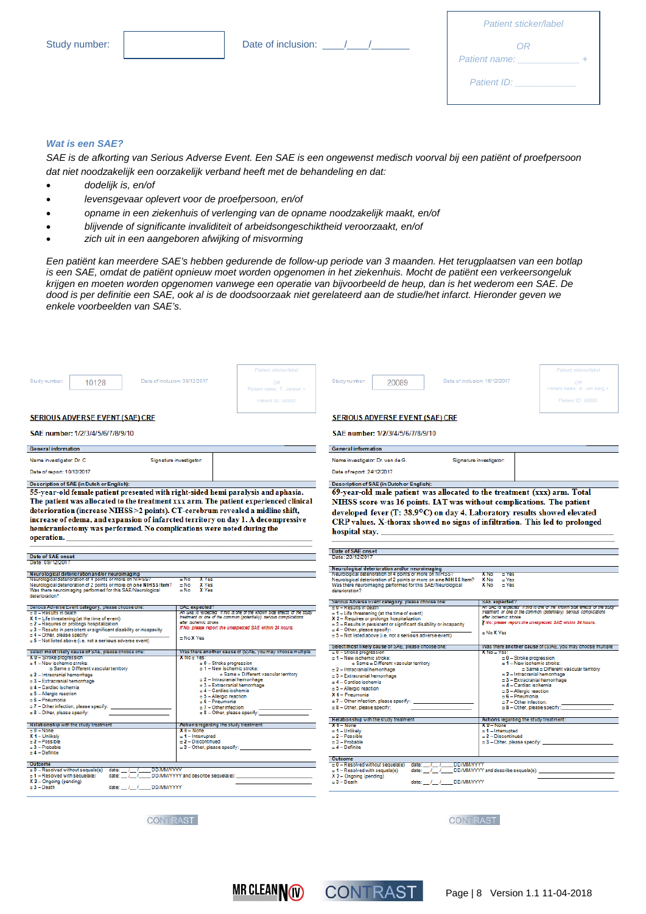| Date of inclusion: |  |  |
|--------------------|--|--|

| Patient sticker/label |  |
|-----------------------|--|
| ΟR<br>Patient name:   |  |
| Patient ID:           |  |
|                       |  |

#### *Wat is een SAE?*

*SAE is de afkorting van Serious Adverse Event. Een SAE is een ongewenst medisch voorval bij een patiënt of proefpersoon dat niet noodzakelijk een oorzakelijk verband heeft met de behandeling en dat:* 

- *dodelijk is, en/of*
- *levensgevaar oplevert voor de proefpersoon, en/of*
- *opname in een ziekenhuis of verlenging van de opname noodzakelijk maakt, en/of*
- *blijvende of significante invaliditeit of arbeidsongeschiktheid veroorzaakt, en/of*
- *zich uit in een aangeboren afwijking of misvorming*

*Een patiënt kan meerdere SAE's hebben gedurende de follow-up periode van 3 maanden. Het terugplaatsen van een botlap is een SAE, omdat de patiënt opnieuw moet worden opgenomen in het ziekenhuis. Mocht de patiënt een verkeersongeluk krijgen en moeten worden opgenomen vanwege een operatie van bijvoorbeeld de heup, dan is het wederom een SAE. De dood is per definitie een SAE, ook al is de doodsoorzaak niet gerelateerd aan de studie/het infarct. Hieronder geven we enkele voorbeelden van SAE's.*

| Date of inclusion: 08/12/2017<br>Study number:<br>10128                                                                                                                                                                                                                                                                                                                                                                                                                                                                                                                                                                                                           | Patient sticker/label<br>OP<br>Patient name: T. Jansen +<br>Patient ID: 00000                                                                                                                                                                                                                                       | Study number:<br>20089                                                                                                                                                                                                                                                                                                                                                                                                                                                                                                                                                                                             | Patient sticker/label<br>Date of inclusion: 16/12/2017<br>OR<br>Patient name: A. van Berg +<br>Patient ID: 00000                                                                                                                                                                                                           |
|-------------------------------------------------------------------------------------------------------------------------------------------------------------------------------------------------------------------------------------------------------------------------------------------------------------------------------------------------------------------------------------------------------------------------------------------------------------------------------------------------------------------------------------------------------------------------------------------------------------------------------------------------------------------|---------------------------------------------------------------------------------------------------------------------------------------------------------------------------------------------------------------------------------------------------------------------------------------------------------------------|--------------------------------------------------------------------------------------------------------------------------------------------------------------------------------------------------------------------------------------------------------------------------------------------------------------------------------------------------------------------------------------------------------------------------------------------------------------------------------------------------------------------------------------------------------------------------------------------------------------------|----------------------------------------------------------------------------------------------------------------------------------------------------------------------------------------------------------------------------------------------------------------------------------------------------------------------------|
| <b>SERIOUS ADVERSE EVENT (SAE) CRF</b>                                                                                                                                                                                                                                                                                                                                                                                                                                                                                                                                                                                                                            |                                                                                                                                                                                                                                                                                                                     | <b>SERIOUS ADVERSE EVENT (SAE) CRF</b>                                                                                                                                                                                                                                                                                                                                                                                                                                                                                                                                                                             |                                                                                                                                                                                                                                                                                                                            |
| SAE number: 1/2/3/4/5/6/7/8/9/10                                                                                                                                                                                                                                                                                                                                                                                                                                                                                                                                                                                                                                  |                                                                                                                                                                                                                                                                                                                     | SAE number: 1/2/3/4/5/6/7/8/9/10                                                                                                                                                                                                                                                                                                                                                                                                                                                                                                                                                                                   |                                                                                                                                                                                                                                                                                                                            |
| <b>General information</b>                                                                                                                                                                                                                                                                                                                                                                                                                                                                                                                                                                                                                                        |                                                                                                                                                                                                                                                                                                                     | <b>General information</b>                                                                                                                                                                                                                                                                                                                                                                                                                                                                                                                                                                                         |                                                                                                                                                                                                                                                                                                                            |
| Name investigator: Dr. C.                                                                                                                                                                                                                                                                                                                                                                                                                                                                                                                                                                                                                                         | Signature investigator:                                                                                                                                                                                                                                                                                             | Name investigator: Dr. van de G.                                                                                                                                                                                                                                                                                                                                                                                                                                                                                                                                                                                   | Signature investigator:                                                                                                                                                                                                                                                                                                    |
| Date of report: 10/12/2017                                                                                                                                                                                                                                                                                                                                                                                                                                                                                                                                                                                                                                        |                                                                                                                                                                                                                                                                                                                     | Date of report: 24/12/2017                                                                                                                                                                                                                                                                                                                                                                                                                                                                                                                                                                                         |                                                                                                                                                                                                                                                                                                                            |
| <b>Description of SAE (in Dutch or English):</b>                                                                                                                                                                                                                                                                                                                                                                                                                                                                                                                                                                                                                  |                                                                                                                                                                                                                                                                                                                     | <b>Description of SAE (in Dutch or English):</b><br>69-year-old male patient was allocated to the treatment (xxx) arm. Total                                                                                                                                                                                                                                                                                                                                                                                                                                                                                       |                                                                                                                                                                                                                                                                                                                            |
| The patient was allocated to the treatment xxx arm. The patient experienced clinical<br>deterioration (increase NIHSS > 2 points). CT-cerebrum revealed a midline shift,<br>increase of edema, and expansion of infarcted territory on day 1. A decompressive<br>hemicraniectomy was performed. No complications were noted during the<br>operation.<br>Date of SAE onset<br>Date: 09/12/2017<br>Neurological deterioration and/or neuroimaging<br>Neurological deterioration of 4 points or more on NIHSS's<br>Neurological deterioration of 2 points or more on one NIHSS Item?<br>Was there neuroimaging performed for this SAE/Neurological<br>deterioration? | <b>X</b> Yes<br>$-$ No<br>X Yes<br>o No<br>o No<br>X Yes                                                                                                                                                                                                                                                            | NIHSS score was 16 points. IAT was without complications. The patient<br>developed fever (T: 38.9°C) on day 4. Laboratory results showed elevated<br>CRP values. X-thorax showed no signs of infiltration. This led to prolonged<br>hospital stay.<br>Date of SAE onset<br>Date: 20/12/2017<br>Neurological deterioration and/or neuroimaging<br>Neurological deterioration of 4 points or more on NIHSS<br>Neurological deterioration of 2 points or more on one NIHSS Item?<br>Was there neuroimaging performed for this SAE/Neurological<br>deterioration?<br>Senous Adverse Event category, please choose one: | <b>X</b> No<br><b>To Yes</b><br>X No<br>a Yes<br>X No<br><b>D</b> Yes<br>SAE expected?                                                                                                                                                                                                                                     |
| Senous Adverse Event category, please choose one:<br>o 0 - Results in death<br>$X$ 1 – Life threatening (at the time of event)<br>□ 2 - Requires or prolongs hospitalization<br>= 3 - Results in persistent or significant disability or incapacity<br>o 4 - Other, please specify:<br>□ 5 - Not listed above (i.e. not a serious adverse event)                                                                                                                                                                                                                                                                                                                  | SAE expected?<br>An SAE is expected: if this is one of the known side effects of the stud<br>treatment or one of the common (potentially) serious complications<br>after Ischemic stroke.<br>If No: please report the unexpected SAE within 24 hours.<br>o No X Yes                                                 | = 0 - Results in death<br>o 1 - Life threatening (at the time of event)<br>X 2 - Requires or prolongs hospitalization<br>o 3 - Results in persistent or significant disability or incapacity<br>$= 4$ - Other, please specify:<br>c 5 - Not listed above (i.e. not a serious adverse event)<br>Select most likely cause of SAE, please choose one:                                                                                                                                                                                                                                                                 | An SAE IS expected I trus is one of the known side enects of the stud<br>treatment or one of the common (potentially) serious complications<br>after Ischemic stroke.<br>if No: please report the unexpected SAE within 24 hours.<br>= No X Yes<br>Was there another cause of (S)AE, you may choose multiple               |
| Select most likely cause of SAE, please choose one:<br>X U - Stroke progression                                                                                                                                                                                                                                                                                                                                                                                                                                                                                                                                                                                   | Was there another cause of (S)AE, you may choose multiple<br>X No a Yes                                                                                                                                                                                                                                             | o U - Stroke progression<br>o 1 - New ischemic stroke:                                                                                                                                                                                                                                                                                                                                                                                                                                                                                                                                                             | X No = Yes:<br>$= 0$ – Stroke progression                                                                                                                                                                                                                                                                                  |
| o 1 - New ischemic stroke:<br>o Same o Different vascular territory<br>$= 2$ - Intracranial hemorrhage<br>$\approx$ 3 - Extracranial hemorrhage<br>□ 4 - Cardiac ischemia<br>$=$ 5 - Allergic reaction<br>$= 6 - P$ neumonia<br>o 7 - Other infection, please specify:<br>a 8 - Other, please specify:                                                                                                                                                                                                                                                                                                                                                            | $= 0$ – Stroke progression<br>o 1 - New ischemic stroke:<br>o Same o Different vascular territory<br>$\alpha$ 2 - Intracranial hemorrhage<br>□ 3 - Extracranial hemorrhage<br>□ 4 - Cardiac ischemia<br>$=$ 5 - Allergic reaction<br>$= 6 - P$ neumonia<br>$= 7 -$ Other infection:<br>= 8 - Other, please specify: | o Same o Different vascular territory<br>$= 2$ - Intracranial hemorrhage<br>$-3$ - Extracranial hemorrhage<br>= 4 - Cardiac ischemia<br>$=$ 5 - Allergic reaction<br>X 6 - Pneumonia<br>o 7 - Other infection, please specify<br>= 8 - Other, please specify:<br><b>Relationship with the study treatment</b>                                                                                                                                                                                                                                                                                                      | o 1 - New ischemic stroke:<br>a Same a Different vascular territory<br>$= 2$ - Intracranial hemorrhage<br>= 3 - Extracranial hemorrhage<br>□ 4 - Cardiac ischemia<br>$= 5$ - Allergic reaction<br>$= 6 - P$ neumonia<br>$= 7 -$ Other infection:<br>= 8 - Other, please specify.<br>Actions regarding the study treatment: |
| <b>Relationship with the study treatment</b>                                                                                                                                                                                                                                                                                                                                                                                                                                                                                                                                                                                                                      | Actions regarding the study treatment:                                                                                                                                                                                                                                                                              | $X$ $0 -$ None                                                                                                                                                                                                                                                                                                                                                                                                                                                                                                                                                                                                     | $XU - None$                                                                                                                                                                                                                                                                                                                |
| $= 0 - None$<br>X 1 - Unlikely<br>a 2 - Possible<br>□ 3 - Probable<br>$= 4 - Definite$                                                                                                                                                                                                                                                                                                                                                                                                                                                                                                                                                                            | $X0 - None$<br>o 1 - Interrupted<br>$= 2 - Discontinued$<br>$=$ 3 - Other, please specify:                                                                                                                                                                                                                          | = 1 - Unlikely<br>a 2 - Possible<br>$=$ 3 - Probable<br>$=$ 4 - Definite                                                                                                                                                                                                                                                                                                                                                                                                                                                                                                                                           | $-1$ - Interrupted<br>$= 2 - Discontinued$<br>$=$ 3 - Other, please specify:                                                                                                                                                                                                                                               |
| Outcome<br><b>DD/MM/YYYY</b><br>o 0 - Resolved without sequela(e)<br>date: $1 - 1$<br>o 1 - Resolved with sequela(e)<br>date:<br>X 2 - Ongoing (pending)<br><b>DD/MM/YYYY</b><br>$= 3 - \text{Death}$<br>date: $11$                                                                                                                                                                                                                                                                                                                                                                                                                                               | DD/MM/YYYY and describe sequela(e):                                                                                                                                                                                                                                                                                 | Outcome<br><b>DD/MM/YYYY</b><br>$= 0$ – Resolved without sequela(e)<br>date: /<br>o 1 - Resolved with sequela(e)<br>date: I<br>X 2 - Ongoing (pending)<br>$= 3 - \text{Death}$<br>date: / / DD/MM/YYYY                                                                                                                                                                                                                                                                                                                                                                                                             | DD/MM/YYYY and describe sequela(e):                                                                                                                                                                                                                                                                                        |

**CONTRAST** 

**CONTRAST** 



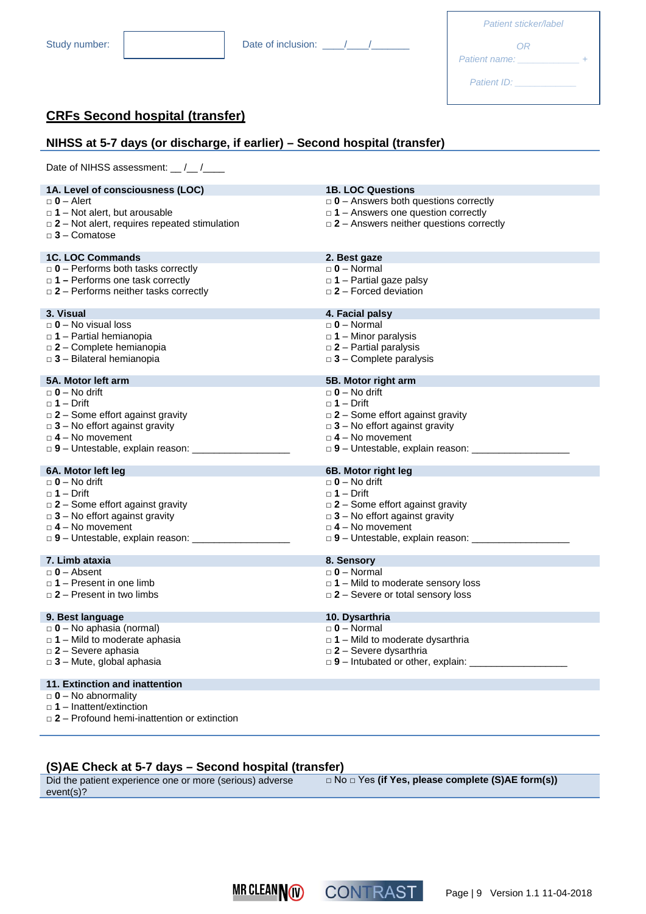| Patient sticker/label              |  |
|------------------------------------|--|
| ΩR<br>Patient name:<br>Patient ID: |  |

## **CRFs Second hospital (transfer)**

## **NIHSS at 5-7 days (or discharge, if earlier) – Second hospital (transfer)**

Date of NIHSS assessment: \_\_ /\_\_ /\_\_\_\_

| $\Box$ 0 - Alert<br>$\Box$ 0 – Answers both questions correctly<br>$\Box$ 1 – Answers one question correctly<br>$\Box$ 1 – Not alert, but arousable<br>$\Box$ 2 – Answers neither questions correctly<br>$\Box$ 2 – Not alert, requires repeated stimulation<br>$\Box$ 3 - Comatose<br><b>1C. LOC Commands</b><br>2. Best gaze<br>$\Box$ 0 - Performs both tasks correctly<br>$\Box$ 0 – Normal<br>$\Box$ 1 – Performs one task correctly<br>$\Box$ 1 – Partial gaze palsy<br>$\Box$ 2 – Forced deviation<br>$\Box$ 2 – Performs neither tasks correctly<br>3. Visual<br>4. Facial palsy<br>$\Box$ 0 – No visual loss<br>$\Box$ 0 – Normal<br>$\Box$ 1 – Minor paralysis<br>$\Box$ 1 – Partial hemianopia<br>$\square$ 2 – Partial paralysis<br>$\Box$ 2 - Complete hemianopia<br>$\Box$ 3 - Bilateral hemianopia<br>$\Box$ 3 - Complete paralysis<br>5A. Motor left arm<br>5B. Motor right arm<br>$\Box$ 0 – No drift<br>$\Box$ 0 – No drift<br>$\Box$ 1 – Drift<br>$\Box$ 1 – Drift<br>$\Box$ 2 – Some effort against gravity<br>$\Box$ 2 – Some effort against gravity<br>$\Box$ 3 – No effort against gravity<br>$\Box$ 3 – No effort against gravity<br>$\Box$ 4 – No movement<br>$\Box$ 4 – No movement<br>□ 9 - Untestable, explain reason: _____________<br>6B. Motor right leg<br>6A. Motor left leg<br>$\Box$ 0 – No drift<br>$\Box$ 0 – No drift<br>$\Box$ 1 – Drift<br>$\Box$ 1 – Drift<br>$\square$ 2 – Some effort against gravity<br>$\square$ 2 – Some effort against gravity<br>$\Box$ 3 – No effort against gravity<br>$\Box$ 3 – No effort against gravity<br>$\Box$ 4 - No movement<br>$\Box$ 4 – No movement<br>7. Limb ataxia<br>8. Sensory<br>$\Box$ 0 - Absent<br>$\Box$ 0 – Normal<br>$\Box$ 1 – Present in one limb<br>$\Box$ 1 – Mild to moderate sensory loss<br>$\Box$ 2 – Present in two limbs<br>$\Box$ 2 – Severe or total sensory loss<br>9. Best language<br>10. Dysarthria<br>$\Box$ 0 - No aphasia (normal)<br>$\Box$ 0 – Normal<br>$\Box$ 1 – Mild to moderate dysarthria<br>$\Box$ 1 – Mild to moderate aphasia<br>$\square$ 2 - Severe aphasia<br>$\Box$ 2 – Severe dysarthria<br>$\Box$ 9 - Intubated or other, explain:<br>$\Box$ 3 - Mute, global aphasia<br>11. Extinction and inattention<br>$\Box$ 0 – No abnormality<br>$\Box$ 1 – Inattent/extinction<br>$\Box$ 2 – Profound hemi-inattention or extinction | 1A. Level of consciousness (LOC) | <b>1B. LOC Questions</b> |
|------------------------------------------------------------------------------------------------------------------------------------------------------------------------------------------------------------------------------------------------------------------------------------------------------------------------------------------------------------------------------------------------------------------------------------------------------------------------------------------------------------------------------------------------------------------------------------------------------------------------------------------------------------------------------------------------------------------------------------------------------------------------------------------------------------------------------------------------------------------------------------------------------------------------------------------------------------------------------------------------------------------------------------------------------------------------------------------------------------------------------------------------------------------------------------------------------------------------------------------------------------------------------------------------------------------------------------------------------------------------------------------------------------------------------------------------------------------------------------------------------------------------------------------------------------------------------------------------------------------------------------------------------------------------------------------------------------------------------------------------------------------------------------------------------------------------------------------------------------------------------------------------------------------------------------------------------------------------------------------------------------------------------------------------------------------------------------------------------------------------------------------------------------------------------------------------------------------------------------------------------------------------------------------------------------------------------------------------------------|----------------------------------|--------------------------|
|                                                                                                                                                                                                                                                                                                                                                                                                                                                                                                                                                                                                                                                                                                                                                                                                                                                                                                                                                                                                                                                                                                                                                                                                                                                                                                                                                                                                                                                                                                                                                                                                                                                                                                                                                                                                                                                                                                                                                                                                                                                                                                                                                                                                                                                                                                                                                            |                                  |                          |
|                                                                                                                                                                                                                                                                                                                                                                                                                                                                                                                                                                                                                                                                                                                                                                                                                                                                                                                                                                                                                                                                                                                                                                                                                                                                                                                                                                                                                                                                                                                                                                                                                                                                                                                                                                                                                                                                                                                                                                                                                                                                                                                                                                                                                                                                                                                                                            |                                  |                          |
|                                                                                                                                                                                                                                                                                                                                                                                                                                                                                                                                                                                                                                                                                                                                                                                                                                                                                                                                                                                                                                                                                                                                                                                                                                                                                                                                                                                                                                                                                                                                                                                                                                                                                                                                                                                                                                                                                                                                                                                                                                                                                                                                                                                                                                                                                                                                                            |                                  |                          |
|                                                                                                                                                                                                                                                                                                                                                                                                                                                                                                                                                                                                                                                                                                                                                                                                                                                                                                                                                                                                                                                                                                                                                                                                                                                                                                                                                                                                                                                                                                                                                                                                                                                                                                                                                                                                                                                                                                                                                                                                                                                                                                                                                                                                                                                                                                                                                            |                                  |                          |
|                                                                                                                                                                                                                                                                                                                                                                                                                                                                                                                                                                                                                                                                                                                                                                                                                                                                                                                                                                                                                                                                                                                                                                                                                                                                                                                                                                                                                                                                                                                                                                                                                                                                                                                                                                                                                                                                                                                                                                                                                                                                                                                                                                                                                                                                                                                                                            |                                  |                          |
|                                                                                                                                                                                                                                                                                                                                                                                                                                                                                                                                                                                                                                                                                                                                                                                                                                                                                                                                                                                                                                                                                                                                                                                                                                                                                                                                                                                                                                                                                                                                                                                                                                                                                                                                                                                                                                                                                                                                                                                                                                                                                                                                                                                                                                                                                                                                                            |                                  |                          |
|                                                                                                                                                                                                                                                                                                                                                                                                                                                                                                                                                                                                                                                                                                                                                                                                                                                                                                                                                                                                                                                                                                                                                                                                                                                                                                                                                                                                                                                                                                                                                                                                                                                                                                                                                                                                                                                                                                                                                                                                                                                                                                                                                                                                                                                                                                                                                            |                                  |                          |
|                                                                                                                                                                                                                                                                                                                                                                                                                                                                                                                                                                                                                                                                                                                                                                                                                                                                                                                                                                                                                                                                                                                                                                                                                                                                                                                                                                                                                                                                                                                                                                                                                                                                                                                                                                                                                                                                                                                                                                                                                                                                                                                                                                                                                                                                                                                                                            |                                  |                          |
|                                                                                                                                                                                                                                                                                                                                                                                                                                                                                                                                                                                                                                                                                                                                                                                                                                                                                                                                                                                                                                                                                                                                                                                                                                                                                                                                                                                                                                                                                                                                                                                                                                                                                                                                                                                                                                                                                                                                                                                                                                                                                                                                                                                                                                                                                                                                                            |                                  |                          |
|                                                                                                                                                                                                                                                                                                                                                                                                                                                                                                                                                                                                                                                                                                                                                                                                                                                                                                                                                                                                                                                                                                                                                                                                                                                                                                                                                                                                                                                                                                                                                                                                                                                                                                                                                                                                                                                                                                                                                                                                                                                                                                                                                                                                                                                                                                                                                            |                                  |                          |
|                                                                                                                                                                                                                                                                                                                                                                                                                                                                                                                                                                                                                                                                                                                                                                                                                                                                                                                                                                                                                                                                                                                                                                                                                                                                                                                                                                                                                                                                                                                                                                                                                                                                                                                                                                                                                                                                                                                                                                                                                                                                                                                                                                                                                                                                                                                                                            |                                  |                          |
|                                                                                                                                                                                                                                                                                                                                                                                                                                                                                                                                                                                                                                                                                                                                                                                                                                                                                                                                                                                                                                                                                                                                                                                                                                                                                                                                                                                                                                                                                                                                                                                                                                                                                                                                                                                                                                                                                                                                                                                                                                                                                                                                                                                                                                                                                                                                                            |                                  |                          |
|                                                                                                                                                                                                                                                                                                                                                                                                                                                                                                                                                                                                                                                                                                                                                                                                                                                                                                                                                                                                                                                                                                                                                                                                                                                                                                                                                                                                                                                                                                                                                                                                                                                                                                                                                                                                                                                                                                                                                                                                                                                                                                                                                                                                                                                                                                                                                            |                                  |                          |
|                                                                                                                                                                                                                                                                                                                                                                                                                                                                                                                                                                                                                                                                                                                                                                                                                                                                                                                                                                                                                                                                                                                                                                                                                                                                                                                                                                                                                                                                                                                                                                                                                                                                                                                                                                                                                                                                                                                                                                                                                                                                                                                                                                                                                                                                                                                                                            |                                  |                          |
|                                                                                                                                                                                                                                                                                                                                                                                                                                                                                                                                                                                                                                                                                                                                                                                                                                                                                                                                                                                                                                                                                                                                                                                                                                                                                                                                                                                                                                                                                                                                                                                                                                                                                                                                                                                                                                                                                                                                                                                                                                                                                                                                                                                                                                                                                                                                                            |                                  |                          |
|                                                                                                                                                                                                                                                                                                                                                                                                                                                                                                                                                                                                                                                                                                                                                                                                                                                                                                                                                                                                                                                                                                                                                                                                                                                                                                                                                                                                                                                                                                                                                                                                                                                                                                                                                                                                                                                                                                                                                                                                                                                                                                                                                                                                                                                                                                                                                            |                                  |                          |
|                                                                                                                                                                                                                                                                                                                                                                                                                                                                                                                                                                                                                                                                                                                                                                                                                                                                                                                                                                                                                                                                                                                                                                                                                                                                                                                                                                                                                                                                                                                                                                                                                                                                                                                                                                                                                                                                                                                                                                                                                                                                                                                                                                                                                                                                                                                                                            |                                  |                          |
|                                                                                                                                                                                                                                                                                                                                                                                                                                                                                                                                                                                                                                                                                                                                                                                                                                                                                                                                                                                                                                                                                                                                                                                                                                                                                                                                                                                                                                                                                                                                                                                                                                                                                                                                                                                                                                                                                                                                                                                                                                                                                                                                                                                                                                                                                                                                                            |                                  |                          |
|                                                                                                                                                                                                                                                                                                                                                                                                                                                                                                                                                                                                                                                                                                                                                                                                                                                                                                                                                                                                                                                                                                                                                                                                                                                                                                                                                                                                                                                                                                                                                                                                                                                                                                                                                                                                                                                                                                                                                                                                                                                                                                                                                                                                                                                                                                                                                            |                                  |                          |
|                                                                                                                                                                                                                                                                                                                                                                                                                                                                                                                                                                                                                                                                                                                                                                                                                                                                                                                                                                                                                                                                                                                                                                                                                                                                                                                                                                                                                                                                                                                                                                                                                                                                                                                                                                                                                                                                                                                                                                                                                                                                                                                                                                                                                                                                                                                                                            |                                  |                          |
|                                                                                                                                                                                                                                                                                                                                                                                                                                                                                                                                                                                                                                                                                                                                                                                                                                                                                                                                                                                                                                                                                                                                                                                                                                                                                                                                                                                                                                                                                                                                                                                                                                                                                                                                                                                                                                                                                                                                                                                                                                                                                                                                                                                                                                                                                                                                                            |                                  |                          |
|                                                                                                                                                                                                                                                                                                                                                                                                                                                                                                                                                                                                                                                                                                                                                                                                                                                                                                                                                                                                                                                                                                                                                                                                                                                                                                                                                                                                                                                                                                                                                                                                                                                                                                                                                                                                                                                                                                                                                                                                                                                                                                                                                                                                                                                                                                                                                            |                                  |                          |
|                                                                                                                                                                                                                                                                                                                                                                                                                                                                                                                                                                                                                                                                                                                                                                                                                                                                                                                                                                                                                                                                                                                                                                                                                                                                                                                                                                                                                                                                                                                                                                                                                                                                                                                                                                                                                                                                                                                                                                                                                                                                                                                                                                                                                                                                                                                                                            |                                  |                          |
|                                                                                                                                                                                                                                                                                                                                                                                                                                                                                                                                                                                                                                                                                                                                                                                                                                                                                                                                                                                                                                                                                                                                                                                                                                                                                                                                                                                                                                                                                                                                                                                                                                                                                                                                                                                                                                                                                                                                                                                                                                                                                                                                                                                                                                                                                                                                                            |                                  |                          |
|                                                                                                                                                                                                                                                                                                                                                                                                                                                                                                                                                                                                                                                                                                                                                                                                                                                                                                                                                                                                                                                                                                                                                                                                                                                                                                                                                                                                                                                                                                                                                                                                                                                                                                                                                                                                                                                                                                                                                                                                                                                                                                                                                                                                                                                                                                                                                            |                                  |                          |
|                                                                                                                                                                                                                                                                                                                                                                                                                                                                                                                                                                                                                                                                                                                                                                                                                                                                                                                                                                                                                                                                                                                                                                                                                                                                                                                                                                                                                                                                                                                                                                                                                                                                                                                                                                                                                                                                                                                                                                                                                                                                                                                                                                                                                                                                                                                                                            |                                  |                          |
|                                                                                                                                                                                                                                                                                                                                                                                                                                                                                                                                                                                                                                                                                                                                                                                                                                                                                                                                                                                                                                                                                                                                                                                                                                                                                                                                                                                                                                                                                                                                                                                                                                                                                                                                                                                                                                                                                                                                                                                                                                                                                                                                                                                                                                                                                                                                                            |                                  |                          |
|                                                                                                                                                                                                                                                                                                                                                                                                                                                                                                                                                                                                                                                                                                                                                                                                                                                                                                                                                                                                                                                                                                                                                                                                                                                                                                                                                                                                                                                                                                                                                                                                                                                                                                                                                                                                                                                                                                                                                                                                                                                                                                                                                                                                                                                                                                                                                            |                                  |                          |
|                                                                                                                                                                                                                                                                                                                                                                                                                                                                                                                                                                                                                                                                                                                                                                                                                                                                                                                                                                                                                                                                                                                                                                                                                                                                                                                                                                                                                                                                                                                                                                                                                                                                                                                                                                                                                                                                                                                                                                                                                                                                                                                                                                                                                                                                                                                                                            |                                  |                          |
|                                                                                                                                                                                                                                                                                                                                                                                                                                                                                                                                                                                                                                                                                                                                                                                                                                                                                                                                                                                                                                                                                                                                                                                                                                                                                                                                                                                                                                                                                                                                                                                                                                                                                                                                                                                                                                                                                                                                                                                                                                                                                                                                                                                                                                                                                                                                                            |                                  |                          |
|                                                                                                                                                                                                                                                                                                                                                                                                                                                                                                                                                                                                                                                                                                                                                                                                                                                                                                                                                                                                                                                                                                                                                                                                                                                                                                                                                                                                                                                                                                                                                                                                                                                                                                                                                                                                                                                                                                                                                                                                                                                                                                                                                                                                                                                                                                                                                            |                                  |                          |
|                                                                                                                                                                                                                                                                                                                                                                                                                                                                                                                                                                                                                                                                                                                                                                                                                                                                                                                                                                                                                                                                                                                                                                                                                                                                                                                                                                                                                                                                                                                                                                                                                                                                                                                                                                                                                                                                                                                                                                                                                                                                                                                                                                                                                                                                                                                                                            |                                  |                          |
|                                                                                                                                                                                                                                                                                                                                                                                                                                                                                                                                                                                                                                                                                                                                                                                                                                                                                                                                                                                                                                                                                                                                                                                                                                                                                                                                                                                                                                                                                                                                                                                                                                                                                                                                                                                                                                                                                                                                                                                                                                                                                                                                                                                                                                                                                                                                                            |                                  |                          |
|                                                                                                                                                                                                                                                                                                                                                                                                                                                                                                                                                                                                                                                                                                                                                                                                                                                                                                                                                                                                                                                                                                                                                                                                                                                                                                                                                                                                                                                                                                                                                                                                                                                                                                                                                                                                                                                                                                                                                                                                                                                                                                                                                                                                                                                                                                                                                            |                                  |                          |
|                                                                                                                                                                                                                                                                                                                                                                                                                                                                                                                                                                                                                                                                                                                                                                                                                                                                                                                                                                                                                                                                                                                                                                                                                                                                                                                                                                                                                                                                                                                                                                                                                                                                                                                                                                                                                                                                                                                                                                                                                                                                                                                                                                                                                                                                                                                                                            |                                  |                          |
|                                                                                                                                                                                                                                                                                                                                                                                                                                                                                                                                                                                                                                                                                                                                                                                                                                                                                                                                                                                                                                                                                                                                                                                                                                                                                                                                                                                                                                                                                                                                                                                                                                                                                                                                                                                                                                                                                                                                                                                                                                                                                                                                                                                                                                                                                                                                                            |                                  |                          |
|                                                                                                                                                                                                                                                                                                                                                                                                                                                                                                                                                                                                                                                                                                                                                                                                                                                                                                                                                                                                                                                                                                                                                                                                                                                                                                                                                                                                                                                                                                                                                                                                                                                                                                                                                                                                                                                                                                                                                                                                                                                                                                                                                                                                                                                                                                                                                            |                                  |                          |
|                                                                                                                                                                                                                                                                                                                                                                                                                                                                                                                                                                                                                                                                                                                                                                                                                                                                                                                                                                                                                                                                                                                                                                                                                                                                                                                                                                                                                                                                                                                                                                                                                                                                                                                                                                                                                                                                                                                                                                                                                                                                                                                                                                                                                                                                                                                                                            |                                  |                          |
|                                                                                                                                                                                                                                                                                                                                                                                                                                                                                                                                                                                                                                                                                                                                                                                                                                                                                                                                                                                                                                                                                                                                                                                                                                                                                                                                                                                                                                                                                                                                                                                                                                                                                                                                                                                                                                                                                                                                                                                                                                                                                                                                                                                                                                                                                                                                                            |                                  |                          |
|                                                                                                                                                                                                                                                                                                                                                                                                                                                                                                                                                                                                                                                                                                                                                                                                                                                                                                                                                                                                                                                                                                                                                                                                                                                                                                                                                                                                                                                                                                                                                                                                                                                                                                                                                                                                                                                                                                                                                                                                                                                                                                                                                                                                                                                                                                                                                            |                                  |                          |
|                                                                                                                                                                                                                                                                                                                                                                                                                                                                                                                                                                                                                                                                                                                                                                                                                                                                                                                                                                                                                                                                                                                                                                                                                                                                                                                                                                                                                                                                                                                                                                                                                                                                                                                                                                                                                                                                                                                                                                                                                                                                                                                                                                                                                                                                                                                                                            |                                  |                          |
|                                                                                                                                                                                                                                                                                                                                                                                                                                                                                                                                                                                                                                                                                                                                                                                                                                                                                                                                                                                                                                                                                                                                                                                                                                                                                                                                                                                                                                                                                                                                                                                                                                                                                                                                                                                                                                                                                                                                                                                                                                                                                                                                                                                                                                                                                                                                                            |                                  |                          |
|                                                                                                                                                                                                                                                                                                                                                                                                                                                                                                                                                                                                                                                                                                                                                                                                                                                                                                                                                                                                                                                                                                                                                                                                                                                                                                                                                                                                                                                                                                                                                                                                                                                                                                                                                                                                                                                                                                                                                                                                                                                                                                                                                                                                                                                                                                                                                            |                                  |                          |
|                                                                                                                                                                                                                                                                                                                                                                                                                                                                                                                                                                                                                                                                                                                                                                                                                                                                                                                                                                                                                                                                                                                                                                                                                                                                                                                                                                                                                                                                                                                                                                                                                                                                                                                                                                                                                                                                                                                                                                                                                                                                                                                                                                                                                                                                                                                                                            |                                  |                          |
|                                                                                                                                                                                                                                                                                                                                                                                                                                                                                                                                                                                                                                                                                                                                                                                                                                                                                                                                                                                                                                                                                                                                                                                                                                                                                                                                                                                                                                                                                                                                                                                                                                                                                                                                                                                                                                                                                                                                                                                                                                                                                                                                                                                                                                                                                                                                                            |                                  |                          |

## **(S)AE Check at 5-7 days – Second hospital (transfer)**

| Did the patient experience one or more (serious) adverse | $\Box$ No $\Box$ Yes (if Yes, please complete (S)AE form(s)) |
|----------------------------------------------------------|--------------------------------------------------------------|
| event(s)?                                                |                                                              |



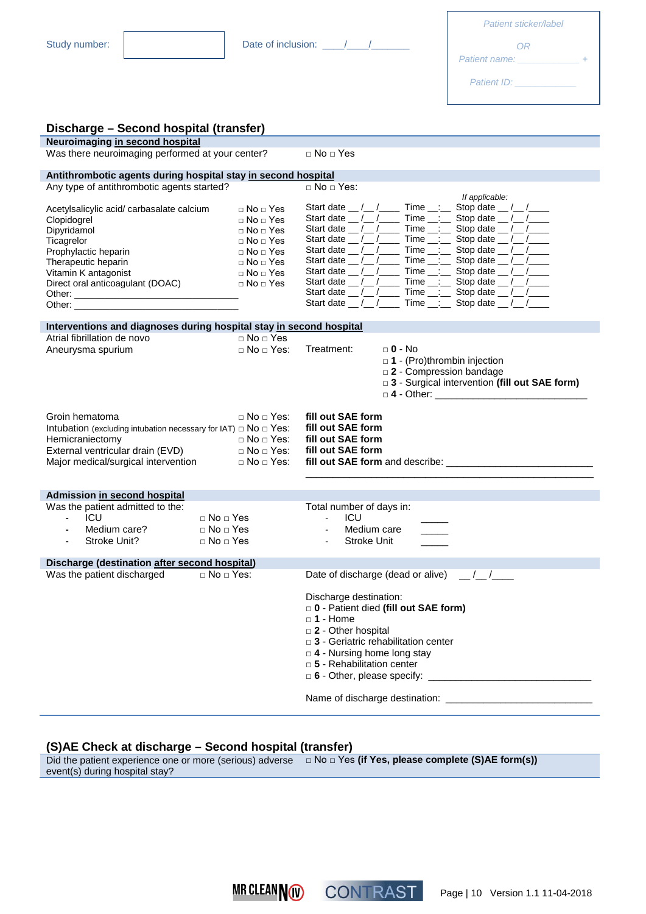| Patient sticker/label |  |
|-----------------------|--|
| ΩR<br>Patient name:   |  |
| Patient ID:           |  |

| Discharge - Second hospital (transfer)                                                                                                                                                           |                                                                                                                                                                                              |                                                                                                                                                                                                                                                                                                                                                                                                                                                                                                                                                                                                                                                                                                                        |
|--------------------------------------------------------------------------------------------------------------------------------------------------------------------------------------------------|----------------------------------------------------------------------------------------------------------------------------------------------------------------------------------------------|------------------------------------------------------------------------------------------------------------------------------------------------------------------------------------------------------------------------------------------------------------------------------------------------------------------------------------------------------------------------------------------------------------------------------------------------------------------------------------------------------------------------------------------------------------------------------------------------------------------------------------------------------------------------------------------------------------------------|
| Neuroimaging in second hospital                                                                                                                                                                  |                                                                                                                                                                                              |                                                                                                                                                                                                                                                                                                                                                                                                                                                                                                                                                                                                                                                                                                                        |
| Was there neuroimaging performed at your center?                                                                                                                                                 |                                                                                                                                                                                              | $\Box$ No $\Box$ Yes                                                                                                                                                                                                                                                                                                                                                                                                                                                                                                                                                                                                                                                                                                   |
| Antithrombotic agents during hospital stay in second hospital                                                                                                                                    |                                                                                                                                                                                              |                                                                                                                                                                                                                                                                                                                                                                                                                                                                                                                                                                                                                                                                                                                        |
| Any type of antithrombotic agents started?                                                                                                                                                       |                                                                                                                                                                                              | $\Box$ No $\Box$ Yes:                                                                                                                                                                                                                                                                                                                                                                                                                                                                                                                                                                                                                                                                                                  |
| Acetylsalicylic acid/ carbasalate calcium<br>Clopidogrel<br>Dipyridamol<br>Ticagrelor<br>Prophylactic heparin<br>Therapeutic heparin<br>Vitamin K antagonist<br>Direct oral anticoagulant (DOAC) | $\Box$ No $\Box$ Yes<br>$\Box$ No $\Box$ Yes<br>$\Box$ No $\Box$ Yes<br>$\Box$ No $\Box$ Yes<br>$\Box$ No $\Box$ Yes<br>$\Box$ No $\Box$ Yes<br>$\Box$ No $\Box$ Yes<br>$\Box$ No $\Box$ Yes | If applicable:<br>Start date __ /__ /_____ Time __:__ Stop date __ /__ /____<br>Start date __/__/______ Time __:___ Stop date __/__/____<br>Time $\_\_$ : Stop date $\_\_$ / $\_\_$<br>Start date $_{\_}/\_/$<br>Start date __/__/______ Time __:___ Stop date __/__/____<br>Start date __/__/______ Time __:___ Stop date __/__/____<br>Start date __ /__ /_____ Time __:__ Stop date __ /__ /____<br>Start date $\frac{1}{\sqrt{2}}$ / Time $\frac{1}{\sqrt{2}}$ Stop date $\frac{1}{\sqrt{2}}$ / $\frac{1}{\sqrt{2}}$<br>Start date $_{\_}/\_/$<br>Time $\_\_ :=$ Stop date $\_\_ / \_\_$<br>Start date __ /__ /_____ Time __:__ Stop date __ /__ /____<br>Start date __/__/______ Time __:___ Stop date __/__/____ |
| Interventions and diagnoses during hospital stay in second hospital                                                                                                                              |                                                                                                                                                                                              |                                                                                                                                                                                                                                                                                                                                                                                                                                                                                                                                                                                                                                                                                                                        |
| Atrial fibrillation de novo<br>Aneurysma spurium                                                                                                                                                 | $\Box$ No $\Box$ Yes<br>$\sqcap$ No $\sqcap$ Yes:                                                                                                                                            | Treatment:<br>$\Box$ 0 - No<br>$\Box$ 1 - (Pro)thrombin injection<br>□ 2 - Compression bandage<br>□ 3 - Surgical intervention (fill out SAE form)<br>$\Box$ 4 - Other:                                                                                                                                                                                                                                                                                                                                                                                                                                                                                                                                                 |
| Groin hematoma<br>Intubation (excluding intubation necessary for IAT) $\Box$ No $\Box$ Yes:<br>Hemicraniectomy<br>External ventricular drain (EVD)<br>Major medical/surgical intervention        | $\Box$ No $\Box$ Yes:<br>$\Box$ No $\Box$ Yes:<br>$\Box$ No $\Box$ Yes:<br>$\Box$ No $\Box$ Yes:                                                                                             | fill out SAE form<br>fill out SAE form<br>fill out SAE form<br>fill out SAE form                                                                                                                                                                                                                                                                                                                                                                                                                                                                                                                                                                                                                                       |
|                                                                                                                                                                                                  |                                                                                                                                                                                              |                                                                                                                                                                                                                                                                                                                                                                                                                                                                                                                                                                                                                                                                                                                        |
| Admission in second hospital<br>Was the patient admitted to the:<br><b>ICU</b><br>÷.<br>Medium care?<br>$\blacksquare$<br>Stroke Unit?<br>Discharge (destination after second hospital)          | $\Box$ No $\Box$ Yes<br>$\Box$ No $\Box$ Yes<br>$\sqcap$ No $\sqcap$ Yes                                                                                                                     | Total number of days in:<br>ICU<br>$\omega_{\rm{max}}$<br>Medium care<br>$\mathbf{u}$<br><b>Stroke Unit</b>                                                                                                                                                                                                                                                                                                                                                                                                                                                                                                                                                                                                            |
| Was the patient discharged                                                                                                                                                                       | $\Box$ No $\Box$ Yes:                                                                                                                                                                        | $\frac{1}{\sqrt{2}}$<br>Date of discharge (dead or alive)                                                                                                                                                                                                                                                                                                                                                                                                                                                                                                                                                                                                                                                              |
|                                                                                                                                                                                                  |                                                                                                                                                                                              | Discharge destination:<br>D - Patient died (fill out SAE form)<br>□ 1 - Home<br>□ 2 - Other hospital<br>$\Box$ 3 - Geriatric rehabilitation center<br>$\Box$ 4 - Nursing home long stay<br>□ 5 - Rehabilitation center                                                                                                                                                                                                                                                                                                                                                                                                                                                                                                 |

#### **(S)AE Check at discharge – Second hospital (transfer)**

Did the patient experience one or more (serious) adverse □ No □ Yes **(if Yes, please complete (S)AE form(s))**event(s) during hospital stay?



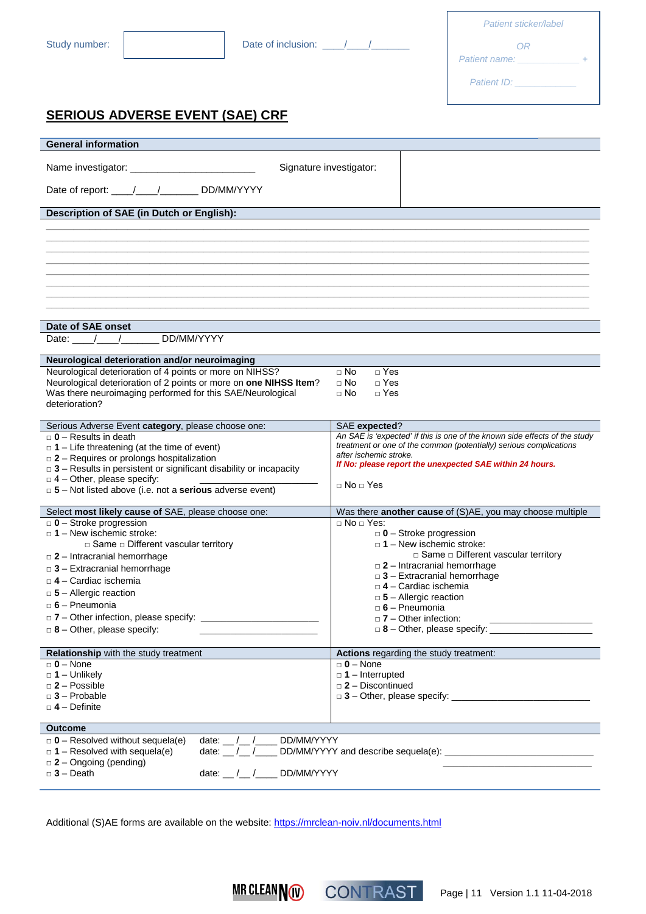| Patient sticker/label |  |
|-----------------------|--|
| OR                    |  |
| Patient name:         |  |
| <b>Patient ID:</b>    |  |

## **SERIOUS ADVERSE EVENT (SAE) CRF**

| <b>General information</b>                                                                                    |                                                                                              |  |
|---------------------------------------------------------------------------------------------------------------|----------------------------------------------------------------------------------------------|--|
| Name investigator: ____________________<br>Date of report: /////////DD/MM/YYYY                                | Signature investigator:                                                                      |  |
| Description of SAE (in Dutch or English):                                                                     |                                                                                              |  |
|                                                                                                               |                                                                                              |  |
|                                                                                                               |                                                                                              |  |
|                                                                                                               |                                                                                              |  |
|                                                                                                               |                                                                                              |  |
|                                                                                                               |                                                                                              |  |
|                                                                                                               |                                                                                              |  |
|                                                                                                               |                                                                                              |  |
|                                                                                                               |                                                                                              |  |
| Date of SAE onset                                                                                             |                                                                                              |  |
| DD/MM/YYYY<br>Date:                                                                                           |                                                                                              |  |
|                                                                                                               |                                                                                              |  |
| Neurological deterioration and/or neuroimaging                                                                |                                                                                              |  |
| Neurological deterioration of 4 points or more on NIHSS?                                                      | $\Box$ Yes<br>$\Box$ No                                                                      |  |
| Neurological deterioration of 2 points or more on one NIHSS Item?                                             | $\Box$ No<br>$\Box$ Yes                                                                      |  |
| Was there neuroimaging performed for this SAE/Neurological<br>deterioration?                                  | $\Box$ No<br>$\Box$ Yes                                                                      |  |
|                                                                                                               |                                                                                              |  |
| Serious Adverse Event category, please choose one:                                                            | SAE expected?                                                                                |  |
| $\Box$ 0 - Results in death                                                                                   | An SAE is 'expected' if this is one of the known side effects of the study                   |  |
| $\Box$ 1 – Life threatening (at the time of event)                                                            | treatment or one of the common (potentially) serious complications<br>after ischemic stroke. |  |
| $\Box$ 2 – Requires or prolongs hospitalization                                                               | If No: please report the unexpected SAE within 24 hours.                                     |  |
| $\Box$ 3 – Results in persistent or significant disability or incapacity<br>$\Box$ 4 - Other, please specify: |                                                                                              |  |
| □ 5 - Not listed above (i.e. not a serious adverse event)                                                     | $\Box$ No $\Box$ Yes                                                                         |  |
|                                                                                                               |                                                                                              |  |
| Select most likely cause of SAE, please choose one:                                                           | Was there another cause of (S)AE, you may choose multiple                                    |  |
| $\Box$ 0 - Stroke progression                                                                                 | $\Box$ No $\Box$ Yes:                                                                        |  |
| $\Box$ 1 – New ischemic stroke:<br>$\Box$ Same $\Box$ Different vascular territory                            | $\Box$ 0 – Stroke progression<br>$\Box$ 1 – New ischemic stroke:                             |  |
| $\Box$ 2 – Intracranial hemorrhage                                                                            | $\Box$ Same $\Box$ Different vascular territory                                              |  |
| $\Box$ 3 – Extracranial hemorrhage                                                                            | $\Box$ 2 – Intracranial hemorrhage                                                           |  |
| □ <b>4 – Cardiac ischemia</b>                                                                                 | $\Box$ 3 - Extracranial hemorrhage                                                           |  |
| $\Box$ 4 - Cardiac ischemia<br>$\Box$ 5 - Allergic reaction                                                   |                                                                                              |  |
| $\Box$ 5 - Allergic reaction<br>$\Box$ 6 - Pneumonia<br>$\Box$ 6 - Pneumonia                                  |                                                                                              |  |
| $\Box$ 7 – Other infection, please specify:                                                                   | $\Box$ 7 – Other infection:                                                                  |  |
| $\Box$ 8 – Other, please specify:                                                                             | $\Box$ 8 - Other, please specify: _                                                          |  |
|                                                                                                               |                                                                                              |  |
| Relationship with the study treatment                                                                         | Actions regarding the study treatment:                                                       |  |
| $\Box$ 0 – None                                                                                               | $\Box$ 0 – None                                                                              |  |
| $\Box$ 1 - Unlikely                                                                                           | $\Box$ 1 – Interrupted                                                                       |  |
| $\Box$ 2 – Possible<br>$\Box$ 3 - Probable                                                                    | $\square$ 2 - Discontinued                                                                   |  |
| $\Box$ 4 – Definite                                                                                           |                                                                                              |  |
|                                                                                                               |                                                                                              |  |
| <b>Outcome</b>                                                                                                |                                                                                              |  |
| $\Box$ 0 – Resolved without sequela(e)<br>DD/MM/YYYY<br>date: $/$ /                                           |                                                                                              |  |
| date: $/$ /<br>$\Box$ 1 – Resolved with sequela(e)                                                            |                                                                                              |  |
| $\Box$ 2 - Ongoing (pending)                                                                                  |                                                                                              |  |
| $\Box$ 3 - Death<br>date: __ /__ /____ DD/MM/YYYY                                                             |                                                                                              |  |
|                                                                                                               |                                                                                              |  |

Additional (S)AE forms are available on the website[: https://mrclean-noiv.nl/documents.html](https://mrclean-noiv.nl/documents.html)